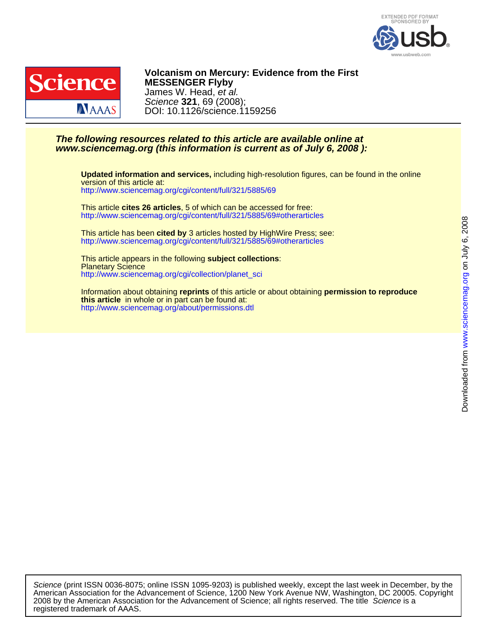



DOI: 10.1126/science.1159256 Science **321**, 69 (2008); James W. Head, et al. **MESSENGER Flyby Volcanism on Mercury: Evidence from the First**

## **www.sciencemag.org (this information is current as of July 6, 2008 ): The following resources related to this article are available online at**

<http://www.sciencemag.org/cgi/content/full/321/5885/69> version of this article at: **Updated information and services,** including high-resolution figures, can be found in the online

<http://www.sciencemag.org/cgi/content/full/321/5885/69#otherarticles> This article **cites 26 articles**, 5 of which can be accessed for free:

<http://www.sciencemag.org/cgi/content/full/321/5885/69#otherarticles> This article has been **cited by** 3 articles hosted by HighWire Press; see:

[http://www.sciencemag.org/cgi/collection/planet\\_sci](http://www.sciencemag.org/cgi/collection/planet_sci) Planetary Science This article appears in the following **subject collections**:

<http://www.sciencemag.org/about/permissions.dtl> **this article** in whole or in part can be found at: Information about obtaining **reprints** of this article or about obtaining **permission to reproduce**

registered trademark of AAAS. 2008 by the American Association for the Advancement of Science; all rights reserved. The title Science is a American Association for the Advancement of Science, 1200 New York Avenue NW, Washington, DC 20005. Copyright Science (print ISSN 0036-8075; online ISSN 1095-9203) is published weekly, except the last week in December, by the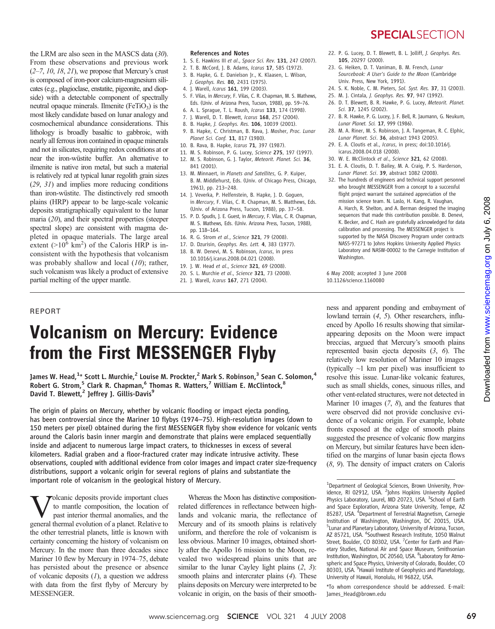## **SPECIAL**SECTION

the LRM are also seen in the MASCS data (30). From these observations and previous work  $(2–7, 10, 18, 21)$ , we propose that Mercury's crust is composed of iron-poor calcium-magnesium silicates (e.g., plagioclase, enstatite, pigeonite, and diopside) with a detectable component of spectrally neutral opaque minerals. Ilmenite  $(FeTiO<sub>3</sub>)$  is the most likely candidate based on lunar analogy and cosmochemical abundance considerations. This lithology is broadly basaltic to gabbroic, with nearly all ferrous iron contained in opaque minerals and not in silicates, requiring redox conditions at or near the iron-wüstite buffer. An alternative to ilmenite is native iron metal, but such a material is relatively red at typical lunar regolith grain sizes (29, 31) and implies more reducing conditions than iron-wüstite. The distinctively red smooth plains (HRP) appear to be large-scale volcanic deposits stratigraphically equivalent to the lunar maria (20), and their spectral properties (steeper spectral slope) are consistent with magma depleted in opaque materials. The large areal extent ( $>10^6$  km<sup>2</sup>) of the Caloris HRP is inconsistent with the hypothesis that volcanism was probably shallow and local  $(10)$ ; rather, such volcanism was likely a product of extensive partial melting of the upper mantle.

### References and Notes

- 1. S. E. Hawkins III et al., Space Sci. Rev. 131, 247 (2007).
- 2. T. B. McCord, J. B. Adams, Icarus 17, 585 (1972). 3. B. Hapke, G. E. Danielson Jr., K. Klaasen, L. Wilson,
	- J. Geophys. Res. 80, 2431 (1975).
- 4. J. Warell, Icarus 161, 199 (2003).
- 5. F. Vilas, in Mercury, F. Vilas, C. R. Chapman, M. S. Mathews, Eds. (Univ. of Arizona Press, Tucson, 1988), pp. 59–76.
- 6. A. L. Sprague, T. L. Roush, Icarus 133, 174 (1998).
- 7. 1. Warell, D. T. Blewett, *Icarus* 168, 257 (2004).
- 8. B. Hapke, J. Geophys. Res. 106, 10039 (2001).
- 9. B. Hapke, C. Christman, B. Rava, J. Mosher, Proc. Lunar Planet Sci. Conf. 11, 817 (1980).
- 10. B. Rava, B. Hapke, Icarus 71, 397 (1987).
- 11. M. S. Robinson, P. G. Lucey, Science 275, 197 (1997).
- 12. M. S. Robinson, G. J. Taylor, Meteorit. Planet. Sci. 36, 841 (2001).
- 13. M. Minnaert, in Planets and Satellites, G. P. Kuiper, B. M. Middlehurst, Eds. (Univ. of Chicago Press, Chicago, 1961), pp. 213–248.
- 14. J. Veverka, P. Helfenstein, B. Hapke, J. D. Goguen, in Mercury, F. Vilas, C. R. Chapman, M. S. Matthews, Eds. (Univ. of Arizona Press, Tucson, 1988), pp. 37–58.
- 15. P. D. Spudis, J. E. Guest, in Mercury, F. Vilas, C. R. Chapman, M. S. Mathews, Eds. (Univ. Arizona Press, Tucson, 1988), pp. 118–164.
- 16. R. G. Strom et al., Science 321, 79 (2008).
- 17. D. Dzurisin, Geophys. Res. Lett. 4, 383 (1977). 18. B. W. Denevi, M. S. Robinson, Icarus, in press
- 10.1016/j.icarus.2008.04.021 (2008).
- 19. J. W. Head et al., Science 321, 69 (2008).
- 20. S. L. Murchie et al., Science 321, 73 (2008). 21. J. Warell, Icarus 167, 271 (2004).
- 
- 22. P. G. Lucey, D. T. Blewett, B. L. Jolliff, J. Geophys. Res. 105, 20297 (2000).
- 23. G. Heiken, D. T. Vaniman, B. M. French, Lunar Sourcebook: A User's Guide to the Moon (Cambridge Univ. Press, New York, 1991).
- 24. S. K. Noble, C. M. Pieters, Sol. Syst. Res. 37, 31 (2003).
- 25. M. J. Cintala, J. Geophys. Res. 97, 947 (1992).
- 26. D. T. Blewett, B. R. Hawke, P. G. Lucey, Meteorit. Planet. Sci. 37, 1245 (2002).
- 27. B. R. Hawke, P. G. Lucey, J. F. Bell, R. Jaumann, G. Neukum, Lunar Planet. Sci. 17, 999 (1986).
- 28. M. A. Riner, M. S. Robinson, J. A. Tangeman, R. C. Elphic, Lunar Planet. Sci. 36, abstract 1943 (2005).
- 29. E. A. Cloutis et al., Icarus, in press; doi:10.1016/j. icarus.2008.04.018 (2008).
- 30. W. E. McClintock et al., Science 321, 62 (2008).
- 31. E. A. Cloutis, D. T. Bailey, M. A. Craig, P. S. Harderson, Lunar Planet. Sci. 39, abstract 1082 (2008).
- 32. The hundreds of engineers and technical support personnel who brought MESSENGER from a concept to a successful flight project warrant the sustained appreciation of the mission science team. N. Laslo, H. Kang, R. Vaughan, A. Harch, R. Shelton, and A. Berman designed the imaging sequences that made this contribution possible. B. Denevi, K. Becker, and C. Hash are gratefully acknowledged for data calibration and processing. The MESSENGER project is supported by the NASA Discovery Program under contracts NAS5-97271 to Johns Hopkins University Applied Physics Laboratory and NASW-00002 to the Carnegie Institution of Washington.

6 May 2008; accepted 3 June 2008 10.1126/science.1160080

### REPORT

# Volcanism on Mercury: Evidence from the First MESSENGER Flyby

James W. Head, $^{1\star}$  Scott L. Murchie, $^2$  Louise M. Prockter, $^2$  Mark S. Robinson, $^3$  Sean C. Solomon, $^4$ Robert G. Strom,<sup>5</sup> Clark R. Chapman,<sup>6</sup> Thomas R. Watters,<sup>7</sup> William E. McClintock,<sup>8</sup> David T. Blewett,<sup>2</sup> Jeffrey J. Gillis-Davis<sup>9</sup>

The origin of plains on Mercury, whether by volcanic flooding or impact ejecta ponding, has been controversial since the Mariner 10 flybys (1974–75). High-resolution images (down to 150 meters per pixel) obtained during the first MESSENGER flyby show evidence for volcanic vents around the Caloris basin inner margin and demonstrate that plains were emplaced sequentially inside and adjacent to numerous large impact craters, to thicknesses in excess of several kilometers. Radial graben and a floor-fractured crater may indicate intrusive activity. These observations, coupled with additional evidence from color images and impact crater size-frequency distributions, support a volcanic origin for several regions of plains and substantiate the important role of volcanism in the geological history of Mercury.

Volcanic deposits provide important clues<br>to mantle composition, the location of<br>past interior thermal anomalies, and the<br>general thermal evolution of a planet Relative to to mantle composition, the location of past interior thermal anomalies, and the general thermal evolution of a planet. Relative to the other terrestrial planets, little is known with certainty concerning the history of volcanism on Mercury. In the more than three decades since Mariner 10 flew by Mercury in 1974–75, debate has persisted about the presence or absence of volcanic deposits  $(1)$ , a question we address with data from the first flyby of Mercury by MESSENGER.

Whereas the Moon has distinctive compositionrelated differences in reflectance between highlands and volcanic maria, the reflectance of Mercury and of its smooth plains is relatively uniform, and therefore the role of volcanism is less obvious. Mariner 10 images, obtained shortly after the Apollo 16 mission to the Moon, revealed two widespread plains units that are similar to the lunar Cayley light plains  $(2, 3)$ : smooth plains and intercrater plains (4). These plains deposits on Mercury were interpreted to be volcanic in origin, on the basis of their smooth-

ness and apparent ponding and embayment of lowland terrain (4, 5). Other researchers, influenced by Apollo 16 results showing that similarappearing deposits on the Moon were impact breccias, argued that Mercury's smooth plains represented basin ejecta deposits (3, 6). The relatively low resolution of Mariner 10 images (typically  $\sim$ 1 km per pixel) was insufficient to resolve this issue. Lunar-like volcanic features, such as small shields, cones, sinuous rilles, and other vent-related structures, were not detected in Mariner 10 images  $(7, 8)$ , and the features that were observed did not provide conclusive evidence of a volcanic origin. For example, lobate fronts exposed at the edge of smooth plains suggested the presence of volcanic flow margins on Mercury, but similar features have been identified on the margins of lunar basin ejecta flows (8, 9). The density of impact craters on Caloris

\*To whom correspondence should be addressed. E-mail: James\_Head@brown.edu

<sup>&</sup>lt;sup>1</sup>Department of Geological Sciences, Brown University, Providence, RI 02912, USA. <sup>2</sup>Johns Hopkins University Applied Physics Laboratory, Laurel, MD 20723, USA. <sup>3</sup>School of Earth and Space Exploration, Arizona State University, Tempe, AZ 85287, USA. <sup>4</sup>Department of Terrestrial Magnetism, Carnegie Institution of Washington, Washington, DC 20015, USA. <sup>5</sup> Lunar and Planetary Laboratory, University of Arizona, Tucson, AZ 85721, USA. <sup>6</sup>Southwest Research Institute, 1050 Walnut Street, Boulder, CO 80302, USA. <sup>7</sup> Center for Earth and Planetary Studies, National Air and Space Museum, Smithsonian Institution, Washington, DC 20560, USA. <sup>8</sup>Laboratory for Atmospheric and Space Physics, University of Colorado, Boulder, CO 80303, USA. <sup>9</sup> Hawaii Institute of Geophysics and Planetology, University of Hawaii, Honolulu, HI 96822, USA.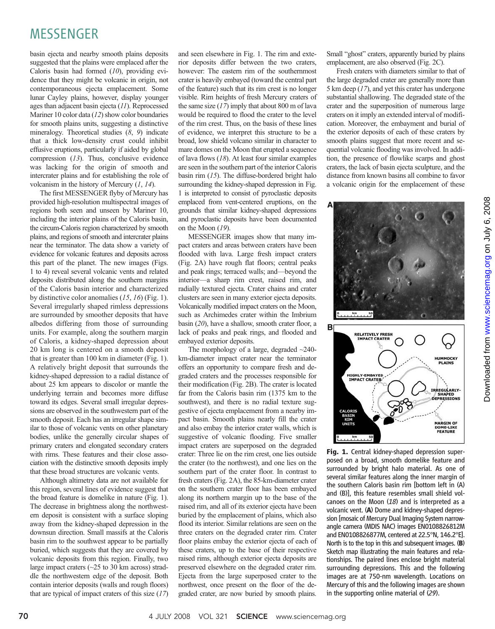# MESSENGER

basin ejecta and nearby smooth plains deposits suggested that the plains were emplaced after the Caloris basin had formed  $(10)$ , providing evidence that they might be volcanic in origin, not contemporaneous ejecta emplacement. Some lunar Cayley plains, however, display younger ages than adjacent basin ejecta (11). Reprocessed Mariner 10 color data (12) show color boundaries for smooth plains units, suggesting a distinctive mineralogy. Theoretical studies (8, 9) indicate that a thick low-density crust could inhibit effusive eruptions, particularly if aided by global compression (13). Thus, conclusive evidence was lacking for the origin of smooth and intercrater plains and for establishing the role of volcanism in the history of Mercury (1, 14).

The first MESSENGER flyby of Mercury has provided high-resolution multispectral images of regions both seen and unseen by Mariner 10, including the interior plains of the Caloris basin, the circum-Caloris region characterized by smooth plains, and regions of smooth and intercrater plains near the terminator. The data show a variety of evidence for volcanic features and deposits across this part of the planet. The new images (Figs. 1 to 4) reveal several volcanic vents and related deposits distributed along the southern margins of the Caloris basin interior and characterized by distinctive color anomalies (15, 16) (Fig. 1). Several irregularly shaped rimless depressions are surrounded by smoother deposits that have albedos differing from those of surrounding units. For example, along the southern margin of Caloris, a kidney-shaped depression about 20 km long is centered on a smooth deposit that is greater than 100 km in diameter (Fig. 1). A relatively bright deposit that surrounds the kidney-shaped depression to a radial distance of about 25 km appears to discolor or mantle the underlying terrain and becomes more diffuse toward its edges. Several small irregular depressions are observed in the southwestern part of the smooth deposit. Each has an irregular shape similar to those of volcanic vents on other planetary bodies, unlike the generally circular shapes of primary craters and elongated secondary craters with rims. These features and their close association with the distinctive smooth deposits imply that these broad structures are volcanic vents.

Although altimetry data are not available for this region, several lines of evidence suggest that the broad feature is domelike in nature (Fig. 1). The decrease in brightness along the northwestern deposit is consistent with a surface sloping away from the kidney-shaped depression in the downsun direction. Small massifs at the Caloris basin rim to the southwest appear to be partially buried, which suggests that they are covered by volcanic deposits from this region. Finally, two large impact craters (~25 to 30 km across) straddle the northwestern edge of the deposit. Both contain interior deposits (walls and rough floors) that are typical of impact craters of this size  $(17)$ 

and seen elsewhere in Fig. 1. The rim and exterior deposits differ between the two craters, however: The eastern rim of the southernmost crater is heavily embayed (toward the central part of the feature) such that its rim crest is no longer visible. Rim heights of fresh Mercury craters of the same size  $(17)$  imply that about 800 m of lava would be required to flood the crater to the level of the rim crest. Thus, on the basis of these lines of evidence, we interpret this structure to be a broad, low shield volcano similar in character to mare domes on the Moon that erupted a sequence of lava flows  $(18)$ . At least four similar examples are seen in the southern part of the interior Caloris basin rim  $(15)$ . The diffuse-bordered bright halo surrounding the kidney-shaped depression in Fig. 1 is interpreted to consist of pyroclastic deposits emplaced from vent-centered eruptions, on the grounds that similar kidney-shaped depressions and pyroclastic deposits have been documented on the Moon (19).

MESSENGER images show that many impact craters and areas between craters have been flooded with lava. Large fresh impact craters (Fig. 2A) have rough flat floors; central peaks and peak rings; terraced walls; and—beyond the interior—a sharp rim crest, raised rim, and radially textured ejecta. Crater chains and crater clusters are seen in many exterior ejecta deposits. Volcanically modified impact craters on the Moon, such as Archimedes crater within the Imbrium basin (20), have a shallow, smooth crater floor, a lack of peaks and peak rings, and flooded and embayed exterior deposits.

The morphology of a large, degraded  $\sim$ 240km-diameter impact crater near the terminator offers an opportunity to compare fresh and degraded craters and the processes responsible for their modification (Fig. 2B). The crater is located far from the Caloris basin rim (1375 km to the southwest), and there is no radial texture suggestive of ejecta emplacement from a nearby impact basin. Smooth plains nearly fill the crater and also embay the interior crater walls, which is suggestive of volcanic flooding. Five smaller impact craters are superposed on the degraded crater: Three lie on the rim crest, one lies outside the crater (to the northwest), and one lies on the southern part of the crater floor. In contrast to fresh craters (Fig. 2A), the 85-km-diameter crater on the southern crater floor has been embayed along its northern margin up to the base of the raised rim, and all of its exterior ejecta have been buried by the emplacement of plains, which also flood its interior. Similar relations are seen on the three craters on the degraded crater rim. Crater floor plains embay the exterior ejecta of each of these craters, up to the base of their respective raised rims, although exterior ejecta deposits are preserved elsewhere on the degraded crater rim. Ejecta from the large superposed crater to the northwest, once present on the floor of the degraded crater, are now buried by smooth plains.

Small "ghost" craters, apparently buried by plains emplacement, are also observed (Fig. 2C).

Fresh craters with diameters similar to that of the large degraded crater are generally more than 5 km deep (17), and yet this crater has undergone substantial shallowing. The degraded state of the crater and the superposition of numerous large craters on it imply an extended interval of modification. Moreover, the embayment and burial of the exterior deposits of each of these craters by smooth plains suggest that more recent and sequential volcanic flooding was involved. In addition, the presence of flowlike scarps and ghost craters, the lack of basin ejecta sculpture, and the distance from known basins all combine to favor a volcanic origin for the emplacement of these



Fig. 1. Central kidney-shaped depression superposed on a broad, smooth domelike feature and surrounded by bright halo material. As one of several similar features along the inner margin of the southern Caloris basin rim [bottom left in (A) and (B)], this feature resembles small shield volcanoes on the Moon  $(18)$  and is interpreted as a volcanic vent. (A) Dome and kidney-shaped depression [mosaic of Mercury Dual Imaging System narrowangle camera (MDIS NAC) images EN0108826812M and EN0108826877M, centered at 22.5°N, 146.2°E]. North is to the top in this and subsequent images. (B) Sketch map illustrating the main features and relationships. The paired lines enclose bright material surrounding depressions. This and the following images are at 750-nm wavelength. Locations on Mercury of this and the following images are shown in the supporting online material of (29).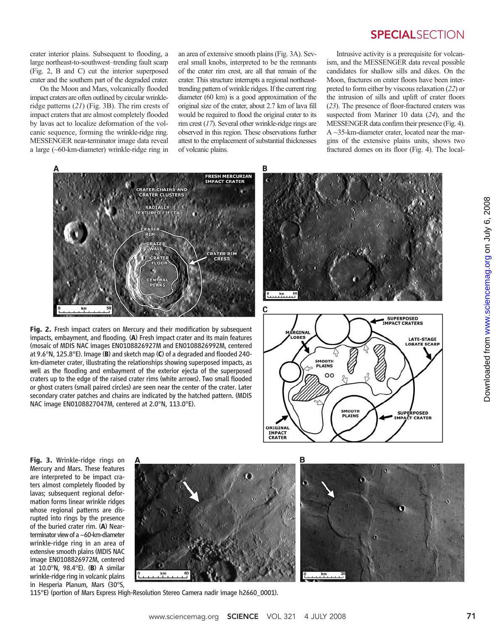crater interior plains. Subsequent to flooding, a large northeast-to-southwest–trending fault scarp (Fig. 2, B and C) cut the interior superposed crater and the southern part of the degraded crater.

On the Moon and Mars, volcanically flooded impact craters are often outlined by circular wrinkleridge patterns (21) (Fig. 3B). The rim crests of impact craters that are almost completely flooded by lavas act to localize deformation of the volcanic sequence, forming the wrinkle-ridge ring. MESSENGER near-terminator image data reveal a large (~60-km-diameter) wrinkle-ridge ring in

an area of extensive smooth plains (Fig. 3A). Several small knobs, interpreted to be the remnants of the crater rim crest, are all that remain of the crater. This structure interrupts a regional northeasttrending pattern of wrinkle ridges. If the current ring diameter (60 km) is a good approximation of the original size of the crater, about 2.7 km of lava fill would be required to flood the original crater to its rim crest (17). Several other wrinkle-ridge rings are observed in this region. These observations further attest to the emplacement of substantial thicknesses of volcanic plains.

в

## **SPECIALSECTION**

Intrusive activity is a prerequisite for volcanism, and the MESSENGER data reveal possible candidates for shallow sills and dikes. On the Moon, fractures on crater floors have been interpreted to form either by viscous relaxation (22) or the intrusion of sills and uplift of crater floors (23). The presence of floor-fractured craters was suspected from Mariner 10 data (24), and the MESSENGER data confirm their presence (Fig. 4). A ~35-km-diameter crater, located near the margins of the extensive plains units, shows two fractured domes on its floor (Fig. 4). The local-



Fig. 2. Fresh impact craters on Mercury and their modification by subsequent impacts, embayment, and flooding. (A) Fresh impact crater and its main features (mosaic of MDIS NAC images EN0108826927M and EN0108826992M, centered at 9.6°N, 125.8°E). Image (B) and sketch map (C) of a degraded and flooded 240 km-diameter crater, illustrating the relationships showing superposed impacts, as well as the flooding and embayment of the exterior ejecta of the superposed craters up to the edge of the raised crater rims (white arrows). Two small flooded or ghost craters (small paired circles) are seen near the center of the crater. Later secondary crater patches and chains are indicated by the hatched pattern. (MDIS NAC image EN0108827047M, centered at 2.0°N, 113.0°E).





Fig. 3. Wrinkle-ridge rings on Mercury and Mars. These features are interpreted to be impact craters almost completely flooded by lavas; subsequent regional deformation forms linear wrinkle ridges whose regional patterns are disrupted into rings by the presence of the buried crater rim. (A) Near-terminator viewof a ~60-km-diameter wrinkle-ridge ring in an area of extensive smooth plains (MDIS NAC image EN0108826972M, centered at 10.0°N, 98.4°E). (B) A similar wrinkle-ridge ring in volcanic plains in Hesperia Planum, Mars (30°S,